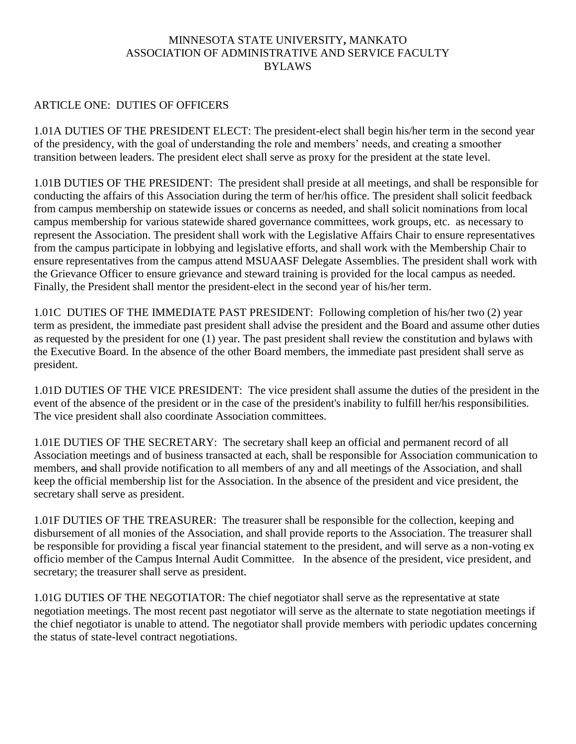#### MINNESOTA STATE UNIVERSITY**,** MANKATO ASSOCIATION OF ADMINISTRATIVE AND SERVICE FACULTY BYLAWS

#### ARTICLE ONE: DUTIES OF OFFICERS

1.01A DUTIES OF THE PRESIDENT ELECT: The president-elect shall begin his/her term in the second year of the presidency, with the goal of understanding the role and members' needs, and creating a smoother transition between leaders. The president elect shall serve as proxy for the president at the state level.

1.01B DUTIES OF THE PRESIDENT: The president shall preside at all meetings, and shall be responsible for conducting the affairs of this Association during the term of her/his office. The president shall solicit feedback from campus membership on statewide issues or concerns as needed, and shall solicit nominations from local campus membership for various statewide shared governance committees, work groups, etc. as necessary to represent the Association. The president shall work with the Legislative Affairs Chair to ensure representatives from the campus participate in lobbying and legislative efforts, and shall work with the Membership Chair to ensure representatives from the campus attend MSUAASF Delegate Assemblies. The president shall work with the Grievance Officer to ensure grievance and steward training is provided for the local campus as needed. Finally, the President shall mentor the president-elect in the second year of his/her term.

1.01C DUTIES OF THE IMMEDIATE PAST PRESIDENT: Following completion of his/her two (2) year term as president, the immediate past president shall advise the president and the Board and assume other duties as requested by the president for one (1) year. The past president shall review the constitution and bylaws with the Executive Board. In the absence of the other Board members, the immediate past president shall serve as president.

1.01D DUTIES OF THE VICE PRESIDENT: The vice president shall assume the duties of the president in the event of the absence of the president or in the case of the president's inability to fulfill her/his responsibilities. The vice president shall also coordinate Association committees.

1.01E DUTIES OF THE SECRETARY: The secretary shall keep an official and permanent record of all Association meetings and of business transacted at each, shall be responsible for Association communication to members, and shall provide notification to all members of any and all meetings of the Association, and shall keep the official membership list for the Association. In the absence of the president and vice president, the secretary shall serve as president.

1.01F DUTIES OF THE TREASURER: The treasurer shall be responsible for the collection, keeping and disbursement of all monies of the Association, and shall provide reports to the Association. The treasurer shall be responsible for providing a fiscal year financial statement to the president, and will serve as a non-voting ex officio member of the Campus Internal Audit Committee. In the absence of the president, vice president, and secretary; the treasurer shall serve as president.

1.01G DUTIES OF THE NEGOTIATOR: The chief negotiator shall serve as the representative at state negotiation meetings. The most recent past negotiator will serve as the alternate to state negotiation meetings if the chief negotiator is unable to attend. The negotiator shall provide members with periodic updates concerning the status of state-level contract negotiations.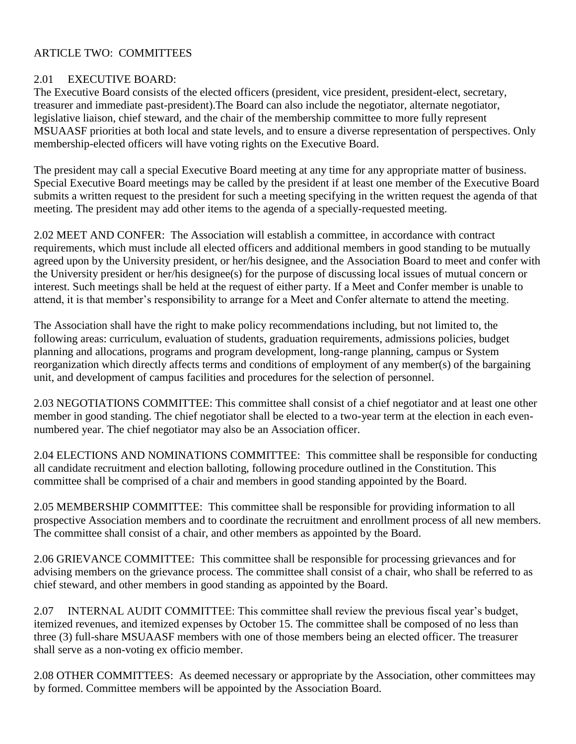# ARTICLE TWO: COMMITTEES

# 2.01 EXECUTIVE BOARD:

The Executive Board consists of the elected officers (president, vice president, president-elect, secretary, treasurer and immediate past-president).The Board can also include the negotiator, alternate negotiator, legislative liaison, chief steward, and the chair of the membership committee to more fully represent MSUAASF priorities at both local and state levels, and to ensure a diverse representation of perspectives. Only membership-elected officers will have voting rights on the Executive Board.

The president may call a special Executive Board meeting at any time for any appropriate matter of business. Special Executive Board meetings may be called by the president if at least one member of the Executive Board submits a written request to the president for such a meeting specifying in the written request the agenda of that meeting. The president may add other items to the agenda of a specially-requested meeting.

2.02 MEET AND CONFER: The Association will establish a committee, in accordance with contract requirements, which must include all elected officers and additional members in good standing to be mutually agreed upon by the University president, or her/his designee, and the Association Board to meet and confer with the University president or her/his designee(s) for the purpose of discussing local issues of mutual concern or interest. Such meetings shall be held at the request of either party. If a Meet and Confer member is unable to attend, it is that member's responsibility to arrange for a Meet and Confer alternate to attend the meeting.

The Association shall have the right to make policy recommendations including, but not limited to, the following areas: curriculum, evaluation of students, graduation requirements, admissions policies, budget planning and allocations, programs and program development, long-range planning, campus or System reorganization which directly affects terms and conditions of employment of any member(s) of the bargaining unit, and development of campus facilities and procedures for the selection of personnel.

2.03 NEGOTIATIONS COMMITTEE: This committee shall consist of a chief negotiator and at least one other member in good standing. The chief negotiator shall be elected to a two-year term at the election in each evennumbered year. The chief negotiator may also be an Association officer.

2.04 ELECTIONS AND NOMINATIONS COMMITTEE: This committee shall be responsible for conducting all candidate recruitment and election balloting, following procedure outlined in the Constitution. This committee shall be comprised of a chair and members in good standing appointed by the Board.

2.05 MEMBERSHIP COMMITTEE: This committee shall be responsible for providing information to all prospective Association members and to coordinate the recruitment and enrollment process of all new members. The committee shall consist of a chair, and other members as appointed by the Board.

2.06 GRIEVANCE COMMITTEE: This committee shall be responsible for processing grievances and for advising members on the grievance process. The committee shall consist of a chair, who shall be referred to as chief steward, and other members in good standing as appointed by the Board.

2.07 INTERNAL AUDIT COMMITTEE: This committee shall review the previous fiscal year's budget, itemized revenues, and itemized expenses by October 15. The committee shall be composed of no less than three (3) full-share MSUAASF members with one of those members being an elected officer. The treasurer shall serve as a non-voting ex officio member.

2.08 OTHER COMMITTEES: As deemed necessary or appropriate by the Association, other committees may by formed. Committee members will be appointed by the Association Board.